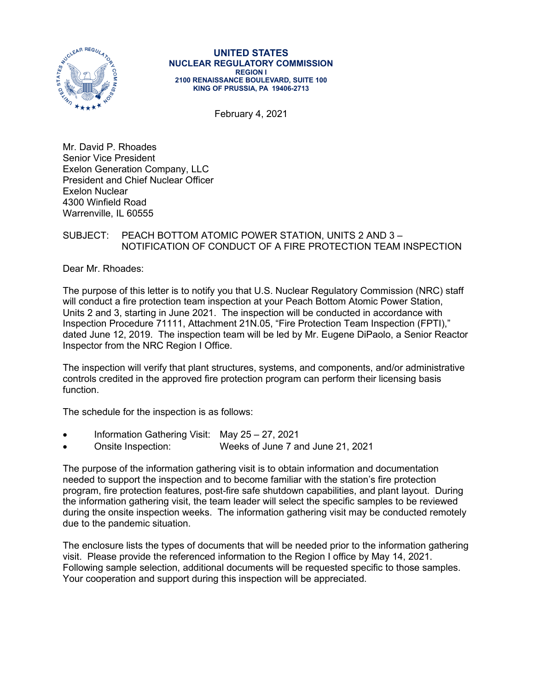

#### **UNITED STATES NUCLEAR REGULATORY COMMISSION REGION I 2100 RENAISSANCE BOULEVARD, SUITE 100 KING OF PRUSSIA, PA 19406-2713**

February 4, 2021

Mr. David P. Rhoades Senior Vice President Exelon Generation Company, LLC President and Chief Nuclear Officer Exelon Nuclear 4300 Winfield Road Warrenville, IL 60555

## SUBJECT: PEACH BOTTOM ATOMIC POWER STATION, UNITS 2 AND 3 – NOTIFICATION OF CONDUCT OF A FIRE PROTECTION TEAM INSPECTION

Dear Mr. Rhoades:

The purpose of this letter is to notify you that U.S. Nuclear Regulatory Commission (NRC) staff will conduct a fire protection team inspection at your Peach Bottom Atomic Power Station, Units 2 and 3, starting in June 2021. The inspection will be conducted in accordance with Inspection Procedure 71111, Attachment 21N.05, "Fire Protection Team Inspection (FPTI)," dated June 12, 2019. The inspection team will be led by Mr. Eugene DiPaolo, a Senior Reactor Inspector from the NRC Region I Office.

The inspection will verify that plant structures, systems, and components, and/or administrative controls credited in the approved fire protection program can perform their licensing basis function.

The schedule for the inspection is as follows:

- Information Gathering Visit: May 25 27, 2021
- Onsite Inspection: Weeks of June 7 and June 21, 2021

The purpose of the information gathering visit is to obtain information and documentation needed to support the inspection and to become familiar with the station's fire protection program, fire protection features, post-fire safe shutdown capabilities, and plant layout. During the information gathering visit, the team leader will select the specific samples to be reviewed during the onsite inspection weeks. The information gathering visit may be conducted remotely due to the pandemic situation.

The enclosure lists the types of documents that will be needed prior to the information gathering visit. Please provide the referenced information to the Region I office by May 14, 2021. Following sample selection, additional documents will be requested specific to those samples. Your cooperation and support during this inspection will be appreciated.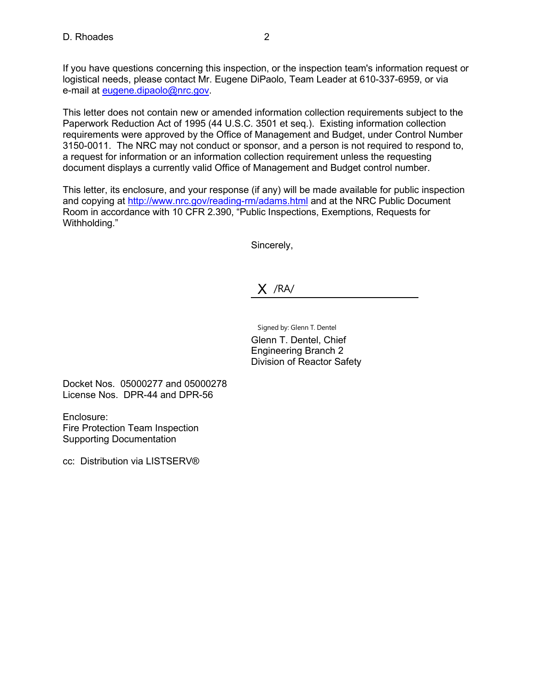If you have questions concerning this inspection, or the inspection team's information request or logistical needs, please contact Mr. Eugene DiPaolo, Team Leader at 610-337-6959, or via e-mail at [eugene.dipaolo@nrc.gov.](mailto:eugene.dipaolo@nrc.gov)

This letter does not contain new or amended information collection requirements subject to the Paperwork Reduction Act of 1995 (44 U.S.C. 3501 et seq.). Existing information collection requirements were approved by the Office of Management and Budget, under Control Number 3150-0011. The NRC may not conduct or sponsor, and a person is not required to respond to, a request for information or an information collection requirement unless the requesting document displays a currently valid Office of Management and Budget control number.

This letter, its enclosure, and your response (if any) will be made available for public inspection and copying at<http://www.nrc.gov/reading-rm/adams.html> and at the NRC Public Document Room in accordance with 10 CFR 2.390, "Public Inspections, Exemptions, Requests for Withholding."

Sincerely,

X /RA/

Signed by: Glenn T. Dentel Glenn T. Dentel, Chief Engineering Branch 2 Division of Reactor Safety

Docket Nos. 05000277 and 05000278 License Nos. DPR-44 and DPR-56

Enclosure: Fire Protection Team Inspection Supporting Documentation

cc: Distribution via LISTSERV®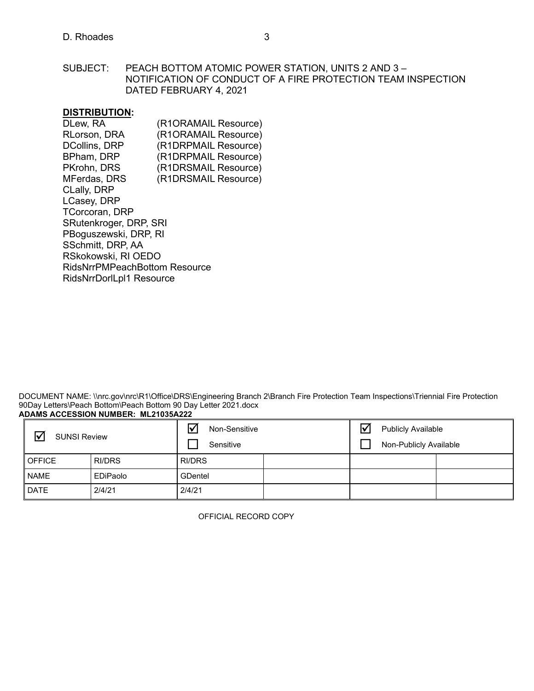SUBJECT: PEACH BOTTOM ATOMIC POWER STATION, UNITS 2 AND 3 – NOTIFICATION OF CONDUCT OF A FIRE PROTECTION TEAM INSPECTION DATED FEBRUARY 4, 2021

## **DISTRIBUTION:**

| (R1ORAMAIL Resource)            |  |  |  |  |  |  |
|---------------------------------|--|--|--|--|--|--|
| (R1ORAMAIL Resource)            |  |  |  |  |  |  |
| (R1DRPMAIL Resource)            |  |  |  |  |  |  |
| (R1DRPMAIL Resource)            |  |  |  |  |  |  |
| (R1DRSMAIL Resource)            |  |  |  |  |  |  |
| (R1DRSMAIL Resource)            |  |  |  |  |  |  |
|                                 |  |  |  |  |  |  |
|                                 |  |  |  |  |  |  |
|                                 |  |  |  |  |  |  |
| SRutenkroger, DRP, SRI          |  |  |  |  |  |  |
| PBoguszewski, DRP, RI           |  |  |  |  |  |  |
|                                 |  |  |  |  |  |  |
| RSkokowski, RI OEDO             |  |  |  |  |  |  |
| RidsNrrPMPeachBottom Resource   |  |  |  |  |  |  |
| <b>RidsNrrDorlLpl1 Resource</b> |  |  |  |  |  |  |
|                                 |  |  |  |  |  |  |

DOCUMENT NAME: \\nrc.gov\nrc\R1\Office\DRS\Engineering Branch 2\Branch Fire Protection Team Inspections\Triennial Fire Protection 90Day Letters\Peach Bottom\Peach Bottom 90 Day Letter 2021.docx **ADAMS ACCESSION NUMBER: ML21035A222**

| $\triangledown$<br><b>SUNSI Review</b> |          | Ⅳ<br>Non-Sensitive<br>Sensitive |  | $\overline{\mathsf{v}}$<br><b>Publicly Available</b><br>Non-Publicly Available |  |  |
|----------------------------------------|----------|---------------------------------|--|--------------------------------------------------------------------------------|--|--|
| <b>OFFICE</b>                          | RI/DRS   | <b>RI/DRS</b>                   |  |                                                                                |  |  |
| <b>NAME</b>                            | EDiPaolo | <b>GDentel</b>                  |  |                                                                                |  |  |
| <b>DATE</b>                            | 2/4/21   | 2/4/21                          |  |                                                                                |  |  |

OFFICIAL RECORD COPY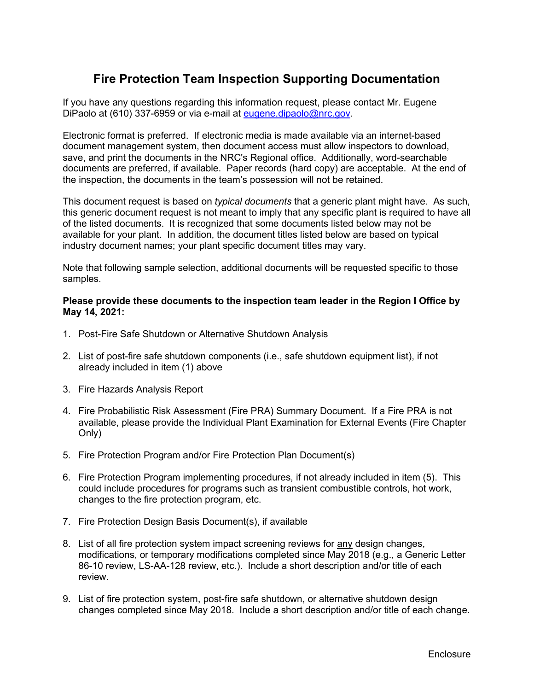# **Fire Protection Team Inspection Supporting Documentation**

If you have any questions regarding this information request, please contact Mr. Eugene DiPaolo at (610) 337-6959 or via e-mail at [eugene.dipaolo@nrc.gov.](mailto:eugene.dipaolo@nrc.gov)

Electronic format is preferred. If electronic media is made available via an internet-based document management system, then document access must allow inspectors to download, save, and print the documents in the NRC's Regional office. Additionally, word-searchable documents are preferred, if available. Paper records (hard copy) are acceptable. At the end of the inspection, the documents in the team's possession will not be retained.

This document request is based on *typical documents* that a generic plant might have. As such, this generic document request is not meant to imply that any specific plant is required to have all of the listed documents. It is recognized that some documents listed below may not be available for your plant. In addition, the document titles listed below are based on typical industry document names; your plant specific document titles may vary.

Note that following sample selection, additional documents will be requested specific to those samples.

#### **Please provide these documents to the inspection team leader in the Region I Office by May 14, 2021:**

- 1. Post-Fire Safe Shutdown or Alternative Shutdown Analysis
- 2. List of post-fire safe shutdown components (i.e., safe shutdown equipment list), if not already included in item (1) above
- 3. Fire Hazards Analysis Report
- 4. Fire Probabilistic Risk Assessment (Fire PRA) Summary Document. If a Fire PRA is not available, please provide the Individual Plant Examination for External Events (Fire Chapter Only)
- 5. Fire Protection Program and/or Fire Protection Plan Document(s)
- 6. Fire Protection Program implementing procedures, if not already included in item (5). This could include procedures for programs such as transient combustible controls, hot work, changes to the fire protection program, etc.
- 7. Fire Protection Design Basis Document(s), if available
- 8. List of all fire protection system impact screening reviews for any design changes, modifications, or temporary modifications completed since May 2018 (e.g., a Generic Letter 86-10 review, LS-AA-128 review, etc.). Include a short description and/or title of each review.
- 9. List of fire protection system, post-fire safe shutdown, or alternative shutdown design changes completed since May 2018. Include a short description and/or title of each change.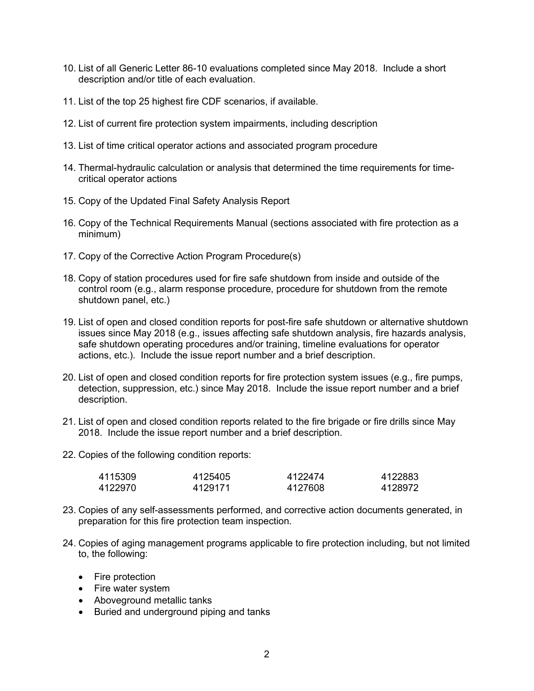- 10. List of all Generic Letter 86-10 evaluations completed since May 2018. Include a short description and/or title of each evaluation.
- 11. List of the top 25 highest fire CDF scenarios, if available.
- 12. List of current fire protection system impairments, including description
- 13. List of time critical operator actions and associated program procedure
- 14. Thermal-hydraulic calculation or analysis that determined the time requirements for timecritical operator actions
- 15. Copy of the Updated Final Safety Analysis Report
- 16. Copy of the Technical Requirements Manual (sections associated with fire protection as a minimum)
- 17. Copy of the Corrective Action Program Procedure(s)
- 18. Copy of station procedures used for fire safe shutdown from inside and outside of the control room (e.g., alarm response procedure, procedure for shutdown from the remote shutdown panel, etc.)
- 19. List of open and closed condition reports for post-fire safe shutdown or alternative shutdown issues since May 2018 (e.g., issues affecting safe shutdown analysis, fire hazards analysis, safe shutdown operating procedures and/or training, timeline evaluations for operator actions, etc.). Include the issue report number and a brief description.
- 20. List of open and closed condition reports for fire protection system issues (e.g., fire pumps, detection, suppression, etc.) since May 2018. Include the issue report number and a brief description.
- 21. List of open and closed condition reports related to the fire brigade or fire drills since May 2018. Include the issue report number and a brief description.
- 22. Copies of the following condition reports:

| 4115309 | 4125405 | 4122474 | 4122883 |
|---------|---------|---------|---------|
| 4122970 | 4129171 | 4127608 | 4128972 |

- 23. Copies of any self-assessments performed, and corrective action documents generated, in preparation for this fire protection team inspection.
- 24. Copies of aging management programs applicable to fire protection including, but not limited to, the following:
	- Fire protection
	- Fire water system
	- Aboveground metallic tanks
	- Buried and underground piping and tanks